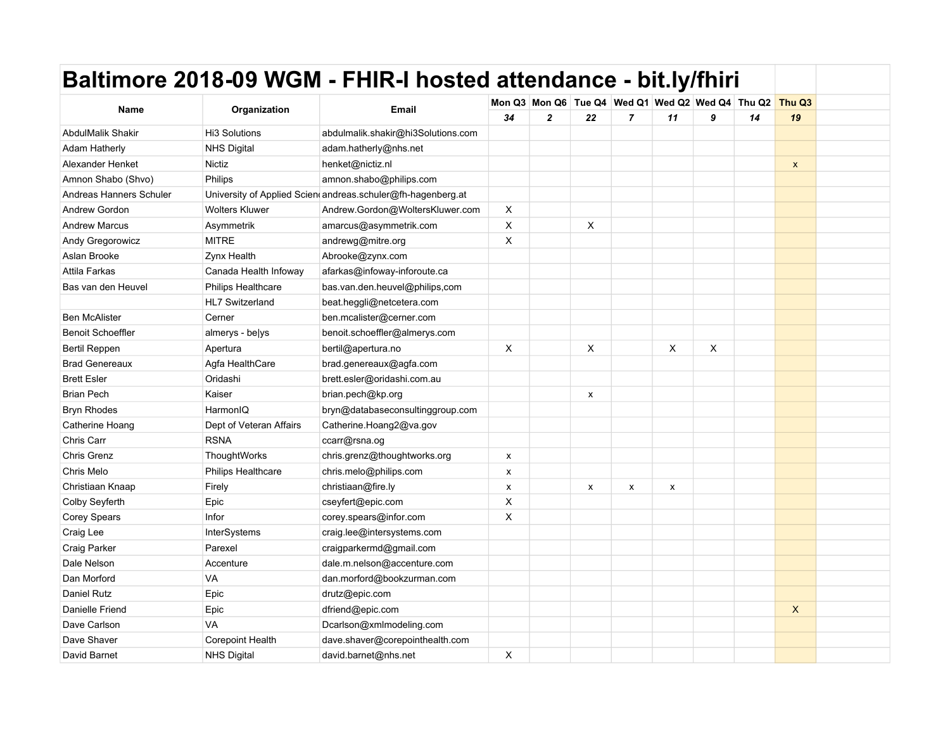|                          |                           | Baltimore 2018-09 WGM - FHIR-I hosted attendance - bit.ly/fhiri |                    |                |    |                |    |                                                         |    |                |  |
|--------------------------|---------------------------|-----------------------------------------------------------------|--------------------|----------------|----|----------------|----|---------------------------------------------------------|----|----------------|--|
|                          |                           |                                                                 |                    |                |    |                |    | Mon Q3 Mon Q6 Tue Q4 Wed Q1 Wed Q2 Wed Q4 Thu Q2 Thu Q3 |    |                |  |
| Name                     | Organization              | Email                                                           | 34                 | $\overline{2}$ | 22 | $\overline{7}$ | 11 | 9                                                       | 14 | 19             |  |
| <b>AbdulMalik Shakir</b> | Hi3 Solutions             | abdulmalik.shakir@hi3Solutions.com                              |                    |                |    |                |    |                                                         |    |                |  |
| <b>Adam Hatherly</b>     | <b>NHS Digital</b>        | adam.hatherly@nhs.net                                           |                    |                |    |                |    |                                                         |    |                |  |
| Alexander Henket         | Nictiz                    | henket@nictiz.nl                                                |                    |                |    |                |    |                                                         |    | $\pmb{\chi}$   |  |
| Amnon Shabo (Shvo)       | Philips                   | amnon.shabo@philips.com                                         |                    |                |    |                |    |                                                         |    |                |  |
| Andreas Hanners Schuler  |                           | University of Applied Scien andreas schuler@fh-hagenberg.at     |                    |                |    |                |    |                                                         |    |                |  |
| Andrew Gordon            | <b>Wolters Kluwer</b>     | Andrew.Gordon@WoltersKluwer.com                                 | X                  |                |    |                |    |                                                         |    |                |  |
| <b>Andrew Marcus</b>     | Asymmetrik                | amarcus@asymmetrik.com                                          | X                  |                | X  |                |    |                                                         |    |                |  |
| Andy Gregorowicz         | <b>MITRE</b>              | andrewg@mitre.org                                               | X                  |                |    |                |    |                                                         |    |                |  |
| Aslan Brooke             | <b>Zynx Health</b>        | Abrooke@zynx.com                                                |                    |                |    |                |    |                                                         |    |                |  |
| Attila Farkas            | Canada Health Infoway     | afarkas@infoway-inforoute.ca                                    |                    |                |    |                |    |                                                         |    |                |  |
| Bas van den Heuvel       | Philips Healthcare        | bas.van.den.heuvel@philips.com                                  |                    |                |    |                |    |                                                         |    |                |  |
|                          | <b>HL7 Switzerland</b>    | beat.heggli@netcetera.com                                       |                    |                |    |                |    |                                                         |    |                |  |
| <b>Ben McAlister</b>     | Cerner                    | ben.mcalister@cerner.com                                        |                    |                |    |                |    |                                                         |    |                |  |
| <b>Benoit Schoeffler</b> | almerys - belys           | benoit.schoeffler@almerys.com                                   |                    |                |    |                |    |                                                         |    |                |  |
| Bertil Reppen            | Apertura                  | bertil@apertura.no                                              | X                  |                | X  |                | X  | X                                                       |    |                |  |
| <b>Brad Genereaux</b>    | Agfa HealthCare           | brad.genereaux@agfa.com                                         |                    |                |    |                |    |                                                         |    |                |  |
| <b>Brett Esler</b>       | Oridashi                  | brett.esler@oridashi.com.au                                     |                    |                |    |                |    |                                                         |    |                |  |
| <b>Brian Pech</b>        | Kaiser                    | brian.pech@kp.org                                               |                    |                | x  |                |    |                                                         |    |                |  |
| <b>Bryn Rhodes</b>       | HarmonIQ                  | bryn@databaseconsultinggroup.com                                |                    |                |    |                |    |                                                         |    |                |  |
| Catherine Hoang          | Dept of Veteran Affairs   | Catherine.Hoang2@va.gov                                         |                    |                |    |                |    |                                                         |    |                |  |
| Chris Carr               | <b>RSNA</b>               | ccarr@rsna.og                                                   |                    |                |    |                |    |                                                         |    |                |  |
| Chris Grenz              | ThoughtWorks              | chris.grenz@thoughtworks.org                                    | $\pmb{\mathsf{x}}$ |                |    |                |    |                                                         |    |                |  |
| Chris Melo               | <b>Philips Healthcare</b> | chris.melo@philips.com                                          | $\pmb{\times}$     |                |    |                |    |                                                         |    |                |  |
| Christiaan Knaap         | Firely                    | christiaan@fire.ly                                              | X                  |                | x  | X              | x  |                                                         |    |                |  |
| Colby Seyferth           | Epic                      | cseyfert@epic.com                                               | X                  |                |    |                |    |                                                         |    |                |  |
| Corey Spears             | Infor                     | corey.spears@infor.com                                          | X                  |                |    |                |    |                                                         |    |                |  |
| Craig Lee                | <b>InterSystems</b>       | craig.lee@intersystems.com                                      |                    |                |    |                |    |                                                         |    |                |  |
| Craig Parker             | Parexel                   | craigparkermd@gmail.com                                         |                    |                |    |                |    |                                                         |    |                |  |
| Dale Nelson              | Accenture                 | dale.m.nelson@accenture.com                                     |                    |                |    |                |    |                                                         |    |                |  |
| Dan Morford              | VA                        | dan.morford@bookzurman.com                                      |                    |                |    |                |    |                                                         |    |                |  |
| <b>Daniel Rutz</b>       | Epic                      | drutz@epic.com                                                  |                    |                |    |                |    |                                                         |    |                |  |
| Danielle Friend          | Epic                      | dfriend@epic.com                                                |                    |                |    |                |    |                                                         |    | $\pmb{\times}$ |  |
| Dave Carlson             | VA                        | Dcarlson@xmlmodeling.com                                        |                    |                |    |                |    |                                                         |    |                |  |
| Dave Shaver              | Corepoint Health          | dave.shaver@corepointhealth.com                                 |                    |                |    |                |    |                                                         |    |                |  |
| David Barnet             | <b>NHS Digital</b>        | david.barnet@nhs.net                                            | X                  |                |    |                |    |                                                         |    |                |  |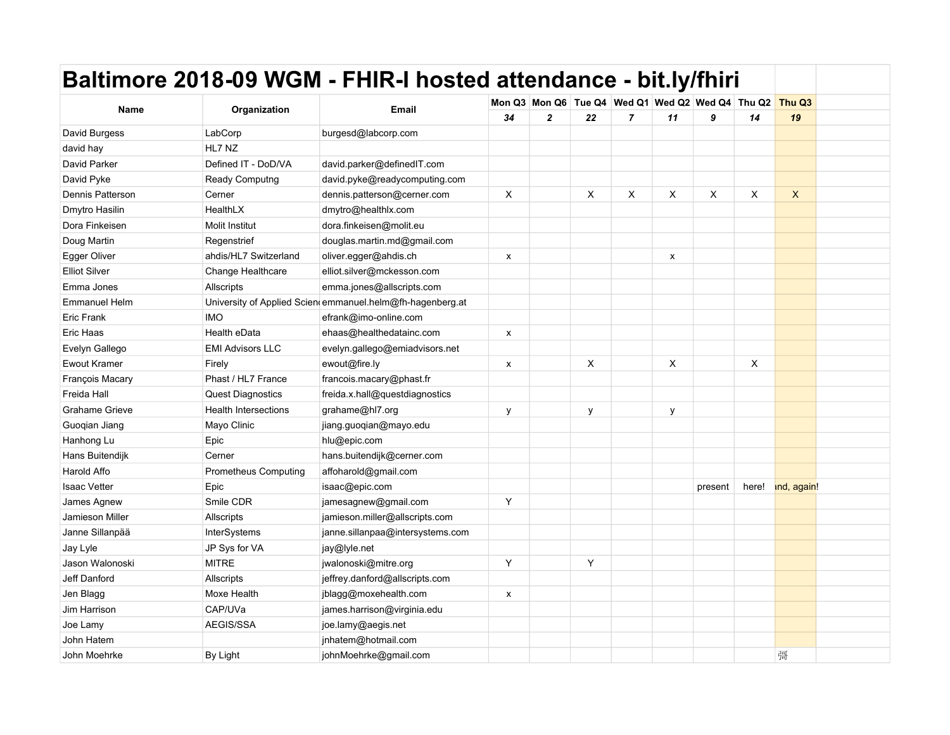|                       |                             | Baltimore 2018-09 WGM - FHIR-I hosted attendance - bit.ly/fhiri |                |              |    |                |    |                                                  |              |                    |  |
|-----------------------|-----------------------------|-----------------------------------------------------------------|----------------|--------------|----|----------------|----|--------------------------------------------------|--------------|--------------------|--|
|                       |                             |                                                                 |                |              |    |                |    | Mon Q3 Mon Q6 Tue Q4 Wed Q1 Wed Q2 Wed Q4 Thu Q2 |              | Thu Q <sub>3</sub> |  |
| <b>Name</b>           | Organization                | <b>Email</b>                                                    | 34             | $\mathbf{2}$ | 22 | $\overline{7}$ | 11 | 9                                                | 14           | 19                 |  |
| David Burgess         | LabCorp                     | burgesd@labcorp.com                                             |                |              |    |                |    |                                                  |              |                    |  |
| david hay             | HL7 NZ                      |                                                                 |                |              |    |                |    |                                                  |              |                    |  |
| David Parker          | Defined IT - DoD/VA         | david.parker@definedIT.com                                      |                |              |    |                |    |                                                  |              |                    |  |
| David Pyke            | Ready Computng              | david.pyke@readycomputing.com                                   |                |              |    |                |    |                                                  |              |                    |  |
| Dennis Patterson      | Cerner                      | dennis.patterson@cerner.com                                     | X              |              | X  | X              | X  | X                                                | X            | X                  |  |
| Dmytro Hasilin        | HealthLX                    | dmytro@healthlx.com                                             |                |              |    |                |    |                                                  |              |                    |  |
| Dora Finkeisen        | <b>Molit Institut</b>       | dora.finkeisen@molit.eu                                         |                |              |    |                |    |                                                  |              |                    |  |
| Doug Martin           | Regenstrief                 | douglas.martin.md@gmail.com                                     |                |              |    |                |    |                                                  |              |                    |  |
| Egger Oliver          | ahdis/HL7 Switzerland       | oliver.egger@ahdis.ch                                           | X              |              |    |                | x  |                                                  |              |                    |  |
| <b>Elliot Silver</b>  | Change Healthcare           | elliot.silver@mckesson.com                                      |                |              |    |                |    |                                                  |              |                    |  |
| Emma Jones            | Allscripts                  | emma.jones@allscripts.com                                       |                |              |    |                |    |                                                  |              |                    |  |
| Emmanuel Helm         |                             | University of Applied Scien emmanuel.helm@fh-hagenberg.at       |                |              |    |                |    |                                                  |              |                    |  |
| Eric Frank            | <b>IMO</b>                  | efrank@imo-online.com                                           |                |              |    |                |    |                                                  |              |                    |  |
| Eric Haas             | Health eData                | ehaas@healthedatainc.com                                        | $\pmb{\times}$ |              |    |                |    |                                                  |              |                    |  |
| Evelyn Gallego        | <b>EMI Advisors LLC</b>     | evelyn.gallego@emiadvisors.net                                  |                |              |    |                |    |                                                  |              |                    |  |
| <b>Ewout Kramer</b>   | Firely                      | ewout@fire.ly                                                   | X              |              | X  |                | X  |                                                  | $\mathsf{X}$ |                    |  |
| François Macary       | Phast / HL7 France          | francois.macary@phast.fr                                        |                |              |    |                |    |                                                  |              |                    |  |
| Freida Hall           | <b>Quest Diagnostics</b>    | freida.x.hall@questdiagnostics                                  |                |              |    |                |    |                                                  |              |                    |  |
| <b>Grahame Grieve</b> | <b>Health Intersections</b> | grahame@hl7.org                                                 | у              |              | у  |                | у  |                                                  |              |                    |  |
| Guoqian Jiang         | Mayo Clinic                 | jiang.guoqian@mayo.edu                                          |                |              |    |                |    |                                                  |              |                    |  |
| Hanhong Lu            | Epic                        | hlu@epic.com                                                    |                |              |    |                |    |                                                  |              |                    |  |
| Hans Buitendijk       | Cerner                      | hans.buitendijk@cerner.com                                      |                |              |    |                |    |                                                  |              |                    |  |
| Harold Affo           | <b>Prometheus Computing</b> | affoharold@gmail.com                                            |                |              |    |                |    |                                                  |              |                    |  |
| <b>Isaac Vetter</b>   | Epic                        | isaac@epic.com                                                  |                |              |    |                |    | present                                          | here!        | ind, again!        |  |
| James Agnew           | Smile CDR                   | jamesagnew@gmail.com                                            | Υ              |              |    |                |    |                                                  |              |                    |  |
| Jamieson Miller       | <b>Allscripts</b>           | jamieson.miller@allscripts.com                                  |                |              |    |                |    |                                                  |              |                    |  |
| Janne Sillanpää       | InterSystems                | janne.sillanpaa@intersystems.com                                |                |              |    |                |    |                                                  |              |                    |  |
| Jay Lyle              | JP Sys for VA               | jay@lyle.net                                                    |                |              |    |                |    |                                                  |              |                    |  |
| Jason Walonoski       | <b>MITRE</b>                | jwalonoski@mitre.org                                            | Y              |              | Y  |                |    |                                                  |              |                    |  |
| Jeff Danford          | Allscripts                  | jeffrey.danford@allscripts.com                                  |                |              |    |                |    |                                                  |              |                    |  |
| Jen Blagg             | Moxe Health                 | jblagg@moxehealth.com                                           | $\pmb{\times}$ |              |    |                |    |                                                  |              |                    |  |
| Jim Harrison          | CAP/UVa                     | james.harrison@virginia.edu                                     |                |              |    |                |    |                                                  |              |                    |  |
| Joe Lamy              | AEGIS/SSA                   | joe.lamy@aegis.net                                              |                |              |    |                |    |                                                  |              |                    |  |
| John Hatem            |                             | jnhatem@hotmail.com                                             |                |              |    |                |    |                                                  |              |                    |  |
| John Moehrke          | By Light                    | johnMoehrke@gmail.com                                           |                |              |    |                |    |                                                  |              | 彁                  |  |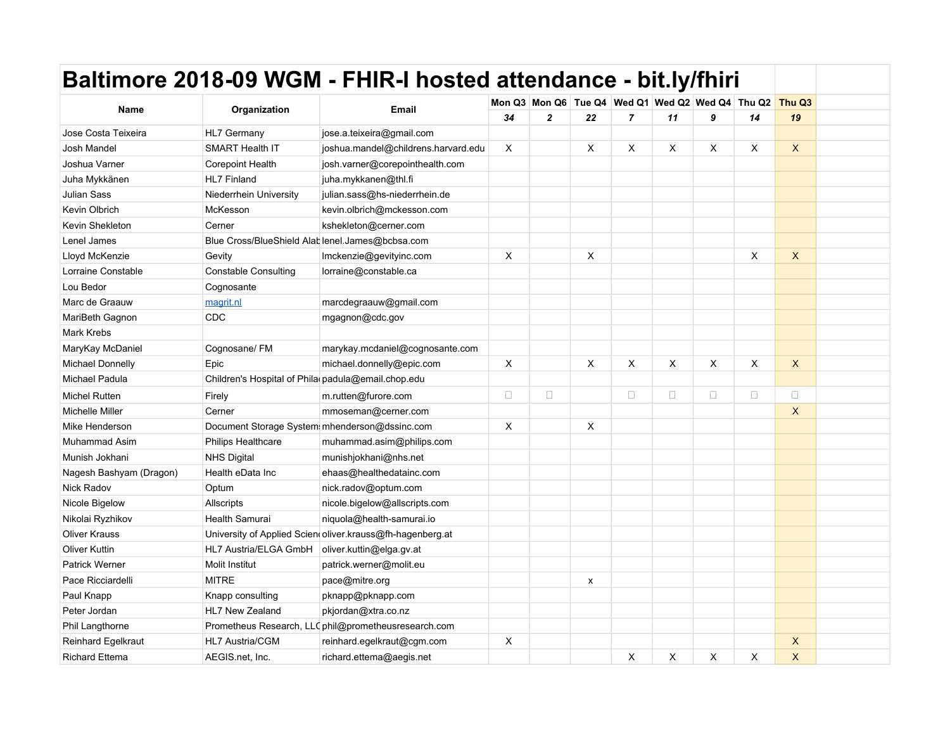|                         |                                                    | Baltimore 2018-09 WGM - FHIR-I hosted attendance - bit.ly/fhiri |                           |                |    |                                                  |        |        |          |             |  |
|-------------------------|----------------------------------------------------|-----------------------------------------------------------------|---------------------------|----------------|----|--------------------------------------------------|--------|--------|----------|-------------|--|
|                         |                                                    |                                                                 |                           |                |    | Mon Q3 Mon Q6 Tue Q4 Wed Q1 Wed Q2 Wed Q4 Thu Q2 |        |        |          | Thu Q3      |  |
| Name                    | Organization                                       | <b>Email</b>                                                    | 34                        | $\overline{2}$ | 22 | $\overline{7}$                                   | 11     | 9      | 14       | 19          |  |
| Jose Costa Teixeira     | <b>HL7 Germany</b>                                 | jose.a.teixeira@gmail.com                                       |                           |                |    |                                                  |        |        |          |             |  |
| Josh Mandel             | <b>SMART Health IT</b>                             | joshua.mandel@childrens.harvard.edu                             | $\boldsymbol{\mathsf{X}}$ |                | X  | X                                                | X      | X      | $\times$ | X           |  |
| Joshua Varner           | <b>Corepoint Health</b>                            | josh.varner@corepointhealth.com                                 |                           |                |    |                                                  |        |        |          |             |  |
| Juha Mykkänen           | <b>HL7 Finland</b>                                 | juha.mykkanen@thl.fi                                            |                           |                |    |                                                  |        |        |          |             |  |
| <b>Julian Sass</b>      | Niederrhein University                             | julian.sass@hs-niederrhein.de                                   |                           |                |    |                                                  |        |        |          |             |  |
| Kevin Olbrich           | McKesson                                           | kevin.olbrich@mckesson.com                                      |                           |                |    |                                                  |        |        |          |             |  |
| Kevin Shekleton         | Cerner                                             | kshekleton@cerner.com                                           |                           |                |    |                                                  |        |        |          |             |  |
| Lenel James             |                                                    | Blue Cross/BlueShield Alat lenel.James@bcbsa.com                |                           |                |    |                                                  |        |        |          |             |  |
| Lloyd McKenzie          | Gevity                                             | Imckenzie@gevityinc.com                                         | X                         |                | X  |                                                  |        |        | X        | X           |  |
| Lorraine Constable      | <b>Constable Consulting</b>                        | lorraine@constable.ca                                           |                           |                |    |                                                  |        |        |          |             |  |
| Lou Bedor               | Cognosante                                         |                                                                 |                           |                |    |                                                  |        |        |          |             |  |
| Marc de Graauw          | magrit.nl                                          | marcdegraauw@gmail.com                                          |                           |                |    |                                                  |        |        |          |             |  |
| MariBeth Gagnon         | CDC                                                | mgagnon@cdc.gov                                                 |                           |                |    |                                                  |        |        |          |             |  |
| <b>Mark Krebs</b>       |                                                    |                                                                 |                           |                |    |                                                  |        |        |          |             |  |
| MaryKay McDaniel        | Cognosane/FM                                       | marykay.mcdaniel@cognosante.com                                 |                           |                |    |                                                  |        |        |          |             |  |
| <b>Michael Donnelly</b> | Epic                                               | michael.donnelly@epic.com                                       | X                         |                | X  | X                                                | X      | X      | $\times$ | X           |  |
| Michael Padula          | Children's Hospital of Phila padula@email.chop.edu |                                                                 |                           |                |    |                                                  |        |        |          |             |  |
| <b>Michel Rutten</b>    | Firely                                             | m.rutten@furore.com                                             | $\Box$                    | $\Box$         |    | $\Box$                                           | $\Box$ | $\Box$ | $\Box$   | $\Box$      |  |
| <b>Michelle Miller</b>  | Cerner                                             | mmoseman@cerner.com                                             |                           |                |    |                                                  |        |        |          | X           |  |
| Mike Henderson          |                                                    | Document Storage System mhenderson@dssinc.com                   | X                         |                | X  |                                                  |        |        |          |             |  |
| <b>Muhammad Asim</b>    | <b>Philips Healthcare</b>                          | muhammad.asim@philips.com                                       |                           |                |    |                                                  |        |        |          |             |  |
| Munish Jokhani          | <b>NHS Digital</b>                                 | munishjokhani@nhs.net                                           |                           |                |    |                                                  |        |        |          |             |  |
| Nagesh Bashyam (Dragon) | Health eData Inc                                   | ehaas@healthedatainc.com                                        |                           |                |    |                                                  |        |        |          |             |  |
| Nick Radov              | Optum                                              | nick.radov@optum.com                                            |                           |                |    |                                                  |        |        |          |             |  |
| Nicole Bigelow          | Allscripts                                         | nicole.bigelow@allscripts.com                                   |                           |                |    |                                                  |        |        |          |             |  |
| Nikolai Ryzhikov        | Health Samurai                                     | niquola@health-samurai.io                                       |                           |                |    |                                                  |        |        |          |             |  |
| <b>Oliver Krauss</b>    |                                                    | University of Applied Scien oliver krauss@fh-hagenberg.at       |                           |                |    |                                                  |        |        |          |             |  |
| <b>Oliver Kuttin</b>    | HL7 Austria/ELGA GmbH                              | oliver.kuttin@elga.gv.at                                        |                           |                |    |                                                  |        |        |          |             |  |
| <b>Patrick Werner</b>   | Molit Institut                                     | patrick werner@molit.eu                                         |                           |                |    |                                                  |        |        |          |             |  |
| Pace Ricciardelli       | <b>MITRE</b>                                       | pace@mitre.org                                                  |                           |                | x  |                                                  |        |        |          |             |  |
| Paul Knapp              | Knapp consulting                                   | pknapp@pknapp.com                                               |                           |                |    |                                                  |        |        |          |             |  |
| Peter Jordan            | HL7 New Zealand                                    | pkjordan@xtra.co.nz                                             |                           |                |    |                                                  |        |        |          |             |  |
| Phil Langthorne         |                                                    | Prometheus Research, LLC phil@prometheusresearch.com            |                           |                |    |                                                  |        |        |          |             |  |
| Reinhard Egelkraut      | HL7 Austria/CGM                                    | reinhard.egelkraut@cgm.com                                      | X                         |                |    |                                                  |        |        |          | X           |  |
| <b>Richard Ettema</b>   | AEGIS.net, Inc.                                    | richard.ettema@aegis.net                                        |                           |                |    | Χ                                                | X      | X      | X        | $\mathsf X$ |  |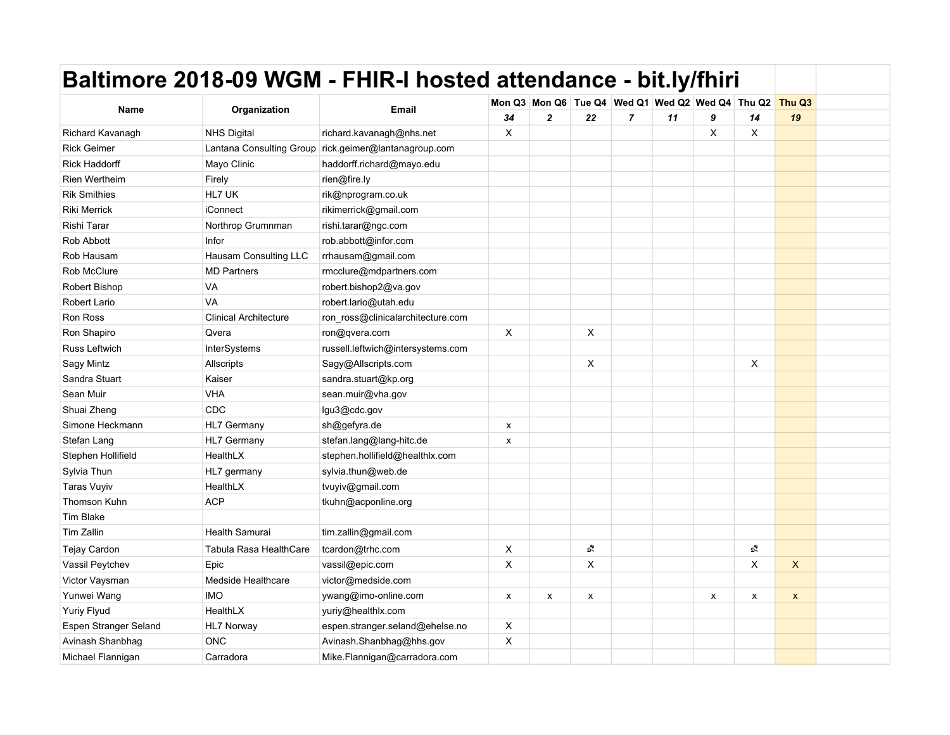|                       | Baltimore 2018-09 WGM - FHIR-I hosted attendance - bit.ly/fhiri |                                                       |                |              |                    |                |                                                         |   |              |                           |  |
|-----------------------|-----------------------------------------------------------------|-------------------------------------------------------|----------------|--------------|--------------------|----------------|---------------------------------------------------------|---|--------------|---------------------------|--|
|                       |                                                                 |                                                       |                |              |                    |                | Mon Q3 Mon Q6 Tue Q4 Wed Q1 Wed Q2 Wed Q4 Thu Q2 Thu Q3 |   |              |                           |  |
| Name                  | Organization                                                    | <b>Email</b>                                          | 34             | $\mathbf{2}$ | 22                 | $\overline{7}$ | 11                                                      | 9 | 14           | 19                        |  |
| Richard Kavanagh      | <b>NHS Digital</b>                                              | richard.kavanagh@nhs.net                              | X              |              |                    |                |                                                         | X | X            |                           |  |
| <b>Rick Geimer</b>    |                                                                 | Lantana Consulting Group rick.geimer@lantanagroup.com |                |              |                    |                |                                                         |   |              |                           |  |
| <b>Rick Haddorff</b>  | Mayo Clinic                                                     | haddorff.richard@mayo.edu                             |                |              |                    |                |                                                         |   |              |                           |  |
| Rien Wertheim         | Firely                                                          | rien@fire.ly                                          |                |              |                    |                |                                                         |   |              |                           |  |
| <b>Rik Smithies</b>   | HL7 UK                                                          | rik@nprogram.co.uk                                    |                |              |                    |                |                                                         |   |              |                           |  |
| <b>Riki Merrick</b>   | iConnect                                                        | rikimerrick@gmail.com                                 |                |              |                    |                |                                                         |   |              |                           |  |
| Rishi Tarar           | Northrop Grumnman                                               | rishi.tarar@ngc.com                                   |                |              |                    |                |                                                         |   |              |                           |  |
| <b>Rob Abbott</b>     | Infor                                                           | rob.abbott@infor.com                                  |                |              |                    |                |                                                         |   |              |                           |  |
| Rob Hausam            | Hausam Consulting LLC                                           | rrhausam@gmail.com                                    |                |              |                    |                |                                                         |   |              |                           |  |
| <b>Rob McClure</b>    | <b>MD Partners</b>                                              | rmcclure@mdpartners.com                               |                |              |                    |                |                                                         |   |              |                           |  |
| Robert Bishop         | VA                                                              | robert.bishop2@va.gov                                 |                |              |                    |                |                                                         |   |              |                           |  |
| <b>Robert Lario</b>   | VA                                                              | robert.lario@utah.edu                                 |                |              |                    |                |                                                         |   |              |                           |  |
| Ron Ross              | <b>Clinical Architecture</b>                                    | ron_ross@clinicalarchitecture.com                     |                |              |                    |                |                                                         |   |              |                           |  |
| Ron Shapiro           | Qvera                                                           | ron@qvera.com                                         | X              |              | X                  |                |                                                         |   |              |                           |  |
| Russ Leftwich         | <b>InterSystems</b>                                             | russell.leftwich@intersystems.com                     |                |              |                    |                |                                                         |   |              |                           |  |
| Sagy Mintz            | Allscripts                                                      | Sagy@Allscripts.com                                   |                |              | X                  |                |                                                         |   | $\mathsf{X}$ |                           |  |
| Sandra Stuart         | Kaiser                                                          | sandra.stuart@kp.org                                  |                |              |                    |                |                                                         |   |              |                           |  |
| Sean Muir             | <b>VHA</b>                                                      | sean.muir@vha.gov                                     |                |              |                    |                |                                                         |   |              |                           |  |
| Shuai Zheng           | CDC                                                             | lgu3@cdc.gov                                          |                |              |                    |                |                                                         |   |              |                           |  |
| Simone Heckmann       | HL7 Germany                                                     | sh@gefyra.de                                          | X              |              |                    |                |                                                         |   |              |                           |  |
| Stefan Lang           | <b>HL7 Germany</b>                                              | stefan.lang@lang-hitc.de                              | X              |              |                    |                |                                                         |   |              |                           |  |
| Stephen Hollifield    | HealthLX                                                        | stephen.hollifield@healthlx.com                       |                |              |                    |                |                                                         |   |              |                           |  |
| Sylvia Thun           | HL7 germany                                                     | sylvia.thun@web.de                                    |                |              |                    |                |                                                         |   |              |                           |  |
| <b>Taras Vuyiv</b>    | HealthLX                                                        | tvuyiv@gmail.com                                      |                |              |                    |                |                                                         |   |              |                           |  |
| Thomson Kuhn          | <b>ACP</b>                                                      | tkuhn@acponline.org                                   |                |              |                    |                |                                                         |   |              |                           |  |
| Tim Blake             |                                                                 |                                                       |                |              |                    |                |                                                         |   |              |                           |  |
| <b>Tim Zallin</b>     | <b>Health Samurai</b>                                           | tim.zallin@gmail.com                                  |                |              |                    |                |                                                         |   |              |                           |  |
| Tejay Cardon          | Tabula Rasa HealthCare                                          | tcardon@trhc.com                                      | X              |              | Ŝ.                 |                |                                                         |   | Ŝ.           |                           |  |
| Vassil Peytchev       | Epic                                                            | vassil@epic.com                                       | X              |              | X                  |                |                                                         |   | $\mathsf{X}$ | $\boldsymbol{\mathsf{X}}$ |  |
| Victor Vaysman        | Medside Healthcare                                              | victor@medside.com                                    |                |              |                    |                |                                                         |   |              |                           |  |
| Yunwei Wang           | <b>IMO</b>                                                      | ywang@imo-online.com                                  | $\pmb{\times}$ | X            | $\pmb{\mathsf{x}}$ |                |                                                         | x | x            | $\pmb{\mathsf{x}}$        |  |
| Yuriy Flyud           | HealthLX                                                        | yuriy@healthlx.com                                    |                |              |                    |                |                                                         |   |              |                           |  |
| Espen Stranger Seland | HL7 Norway                                                      | espen.stranger.seland@ehelse.no                       | X              |              |                    |                |                                                         |   |              |                           |  |
| Avinash Shanbhag      | <b>ONC</b>                                                      | Avinash.Shanbhag@hhs.gov                              | X              |              |                    |                |                                                         |   |              |                           |  |
| Michael Flannigan     | Carradora                                                       | Mike.Flannigan@carradora.com                          |                |              |                    |                |                                                         |   |              |                           |  |